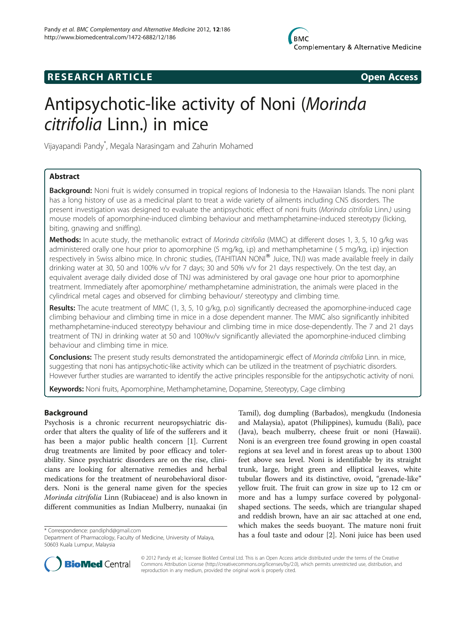# **RESEARCH ARTICLE Example 2014 CONSIDERING CONSIDERING CONSIDERING CONSIDERING CONSIDERING CONSIDERING CONSIDERING CONSIDERING CONSIDERING CONSIDERING CONSIDERING CONSIDERING CONSIDERING CONSIDERING CONSIDERING CONSIDE**

# Antipsychotic-like activity of Noni (Morinda citrifolia Linn.) in mice

Vijayapandi Pandy\* , Megala Narasingam and Zahurin Mohamed

# Abstract

Background: Noni fruit is widely consumed in tropical regions of Indonesia to the Hawaiian Islands. The noni plant has a long history of use as a medicinal plant to treat a wide variety of ailments including CNS disorders. The present investigation was designed to evaluate the antipsychotic effect of noni fruits (Morinda citrifolia Linn.) using mouse models of apomorphine-induced climbing behaviour and methamphetamine-induced stereotypy (licking, biting, gnawing and sniffing).

Methods: In acute study, the methanolic extract of Morinda citrifolia (MMC) at different doses 1, 3, 5, 10 g/kg was administered orally one hour prior to apomorphine (5 mg/kg, i.p) and methamphetamine ( 5 mg/kg, i.p) injection respectively in Swiss albino mice. In chronic studies, (TAHITIAN NONI® Juice, TNJ) was made available freely in daily drinking water at 30, 50 and 100% v/v for 7 days; 30 and 50% v/v for 21 days respectively. On the test day, an equivalent average daily divided dose of TNJ was administered by oral gavage one hour prior to apomorphine treatment. Immediately after apomorphine/ methamphetamine administration, the animals were placed in the cylindrical metal cages and observed for climbing behaviour/ stereotypy and climbing time.

Results: The acute treatment of MMC (1, 3, 5, 10 g/kg, p.o) significantly decreased the apomorphine-induced cage climbing behaviour and climbing time in mice in a dose dependent manner. The MMC also significantly inhibited methamphetamine-induced stereotypy behaviour and climbing time in mice dose-dependently. The 7 and 21 days treatment of TNJ in drinking water at 50 and 100%v/v significantly alleviated the apomorphine-induced climbing behaviour and climbing time in mice.

Conclusions: The present study results demonstrated the antidopaminergic effect of Morinda citrifolia Linn. in mice, suggesting that noni has antipsychotic-like activity which can be utilized in the treatment of psychiatric disorders. However further studies are warranted to identify the active principles responsible for the antipsychotic activity of noni.

Keywords: Noni fruits, Apomorphine, Methamphetamine, Dopamine, Stereotypy, Cage climbing

# Background

Psychosis is a chronic recurrent neuropsychiatric disorder that alters the quality of life of the sufferers and it has been a major public health concern [[1](#page-6-0)]. Current drug treatments are limited by poor efficacy and tolerability. Since psychiatric disorders are on the rise, clinicians are looking for alternative remedies and herbal medications for the treatment of neurobehavioral disorders. Noni is the general name given for the species Morinda citrifolia Linn (Rubiaceae) and is also known in different communities as Indian Mulberry, nunaakai (in

Tamil), dog dumpling (Barbados), mengkudu (Indonesia and Malaysia), apatot (Philippines), kumudu (Bali), pace (Java), beach mulberry, cheese fruit or noni (Hawaii). Noni is an evergreen tree found growing in open coastal regions at sea level and in forest areas up to about 1300 feet above sea level. Noni is identifiable by its straight trunk, large, bright green and elliptical leaves, white tubular flowers and its distinctive, ovoid, "grenade-like" yellow fruit. The fruit can grow in size up to 12 cm or more and has a lumpy surface covered by polygonalshaped sections. The seeds, which are triangular shaped and reddish brown, have an air sac attached at one end, which makes the seeds buoyant. The mature noni fruit has a foul taste and odour [\[2](#page-6-0)]. Noni juice has been used \* Correspondence: [pandiphd@gmail.com](mailto:pandiphd@gmail.com)



© 2012 Pandy et al.; licensee BioMed Central Ltd. This is an Open Access article distributed under the terms of the Creative Commons Attribution License [\(http://creativecommons.org/licenses/by/2.0\)](http://creativecommons.org/licenses/by/2.0), which permits unrestricted use, distribution, and reproduction in any medium, provided the original work is properly cited.

Department of Pharmacology, Faculty of Medicine, University of Malaya, 50603 Kuala Lumpur, Malaysia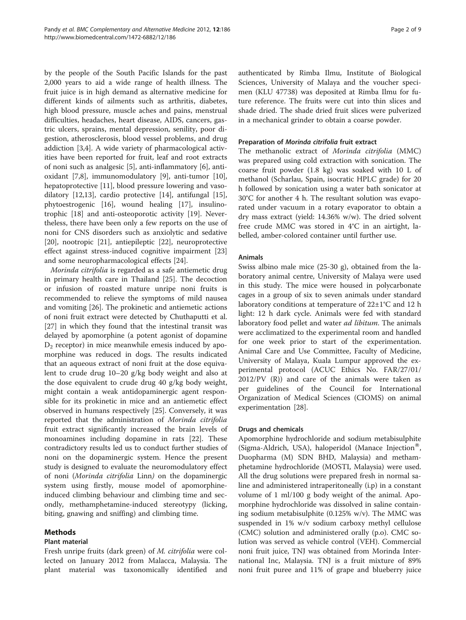by the people of the South Pacific Islands for the past 2,000 years to aid a wide range of health illness. The fruit juice is in high demand as alternative medicine for different kinds of ailments such as arthritis, diabetes, high blood pressure, muscle aches and pains, menstrual difficulties, headaches, heart disease, AIDS, cancers, gastric ulcers, sprains, mental depression, senility, poor digestion, atherosclerosis, blood vessel problems, and drug addiction [\[3,4](#page-6-0)]. A wide variety of pharmacological activities have been reported for fruit, leaf and root extracts of noni such as analgesic [[5\]](#page-6-0), anti-inflammatory [\[6](#page-7-0)], antioxidant [\[7](#page-7-0),[8](#page-7-0)], immunomodulatory [[9\]](#page-7-0), anti-tumor [\[10](#page-7-0)], hepatoprotective [\[11\]](#page-7-0), blood pressure lowering and vasodilatory [[12,13\]](#page-7-0), cardio protective [[14](#page-7-0)], antifungal [\[15](#page-7-0)], phytoestrogenic [\[16](#page-7-0)], wound healing [\[17](#page-7-0)], insulinotrophic [[18\]](#page-7-0) and anti-osteoporotic activity [[19\]](#page-7-0). Nevertheless, there have been only a few reports on the use of noni for CNS disorders such as anxiolytic and sedative [[20\]](#page-7-0), nootropic [[21\]](#page-7-0), antiepileptic [[22\]](#page-7-0), neuroprotective effect against stress-induced cognitive impairment [[23](#page-7-0)] and some neuropharmacological effects [\[24\]](#page-7-0).

Morinda citrifolia is regarded as a safe antiemetic drug in primary health care in Thailand [\[25\]](#page-7-0). The decoction or infusion of roasted mature unripe noni fruits is recommended to relieve the symptoms of mild nausea and vomiting [[26\]](#page-7-0). The prokinetic and antiemetic actions of noni fruit extract were detected by Chuthaputti et al. [[27\]](#page-7-0) in which they found that the intestinal transit was delayed by apomorphine (a potent agonist of dopamine  $D<sub>2</sub>$  receptor) in mice meanwhile emesis induced by apomorphine was reduced in dogs. The results indicated that an aqueous extract of noni fruit at the dose equivalent to crude drug 10–20 g/kg body weight and also at the dose equivalent to crude drug 40 g/kg body weight, might contain a weak antidopaminergic agent responsible for its prokinetic in mice and an antiemetic effect observed in humans respectively [[25](#page-7-0)]. Conversely, it was reported that the administration of Morinda citrifolia fruit extract significantly increased the brain levels of monoamines including dopamine in rats [[22\]](#page-7-0). These contradictory results led us to conduct further studies of noni on the dopaminergic system. Hence the present study is designed to evaluate the neuromodulatory effect of noni (Morinda citrifolia Linn) on the dopaminergic system using firstly, mouse model of apomorphineinduced climbing behaviour and climbing time and secondly, methamphetamine-induced stereotypy (licking, biting, gnawing and sniffing) and climbing time.

# Methods

#### Plant material

Fresh unripe fruits (dark green) of M. citrifolia were collected on January 2012 from Malacca, Malaysia. The plant material was taxonomically identified and authenticated by Rimba Ilmu, Institute of Biological Sciences, University of Malaya and the voucher specimen (KLU 47738) was deposited at Rimba Ilmu for future reference. The fruits were cut into thin slices and shade dried. The shade dried fruit slices were pulverized in a mechanical grinder to obtain a coarse powder.

#### Preparation of Morinda citrifolia fruit extract

The methanolic extract of Morinda citrifolia (MMC) was prepared using cold extraction with sonication. The coarse fruit powder (1.8 kg) was soaked with 10 L of methanol (Scharlau, Spain, isocratic HPLC grade) for 20 h followed by sonication using a water bath sonicator at 30°C for another 4 h. The resultant solution was evaporated under vacuum in a rotary evaporator to obtain a dry mass extract (yield: 14.36% w/w). The dried solvent free crude MMC was stored in 4°C in an airtight, labelled, amber-colored container until further use.

#### Animals

Swiss albino male mice (25-30 g), obtained from the laboratory animal centre, University of Malaya were used in this study. The mice were housed in polycarbonate cages in a group of six to seven animals under standard laboratory conditions at temperature of 22±1°C and 12 h light: 12 h dark cycle. Animals were fed with standard laboratory food pellet and water *ad libitum*. The animals were acclimatized to the experimental room and handled for one week prior to start of the experimentation. Animal Care and Use Committee, Faculty of Medicine, University of Malaya, Kuala Lumpur approved the experimental protocol (ACUC Ethics No. FAR/27/01/ 2012/PV (R)) and care of the animals were taken as per guidelines of the Council for International Organization of Medical Sciences (CIOMS) on animal experimentation [[28\]](#page-7-0).

#### Drugs and chemicals

Apomorphine hydrochloride and sodium metabisulphite (Sigma-Aldrich, USA), haloperidol (Manace Injection<sup>®</sup>, Duopharma (M) SDN BHD, Malaysia) and methamphetamine hydrochloride (MOSTI, Malaysia) were used. All the drug solutions were prepared fresh in normal saline and administered intraperitoneally (i.p) in a constant volume of 1 ml/100 g body weight of the animal. Apomorphine hydrochloride was dissolved in saline containing sodium metabisulphite (0.125% w/v). The MMC was suspended in 1% w/v sodium carboxy methyl cellulose (CMC) solution and administered orally (p.o). CMC solution was served as vehicle control (VEH). Commercial noni fruit juice, TNJ was obtained from Morinda International Inc, Malaysia. TNJ is a fruit mixture of 89% noni fruit puree and 11% of grape and blueberry juice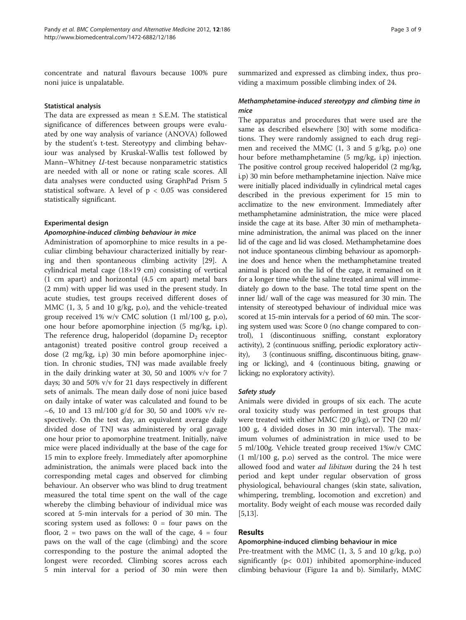concentrate and natural flavours because 100% pure noni juice is unpalatable.

#### Statistical analysis

The data are expressed as mean  $\pm$  S.E.M. The statistical significance of differences between groups were evaluated by one way analysis of variance (ANOVA) followed by the student's t-test. Stereotypy and climbing behaviour was analysed by Kruskal-Wallis test followed by Mann–Whitney U-test because nonparametric statistics are needed with all or none or rating scale scores. All data analyses were conducted using GraphPad Prism 5 statistical software. A level of p < 0.05 was considered statistically significant.

#### Experimental design

### Apomorphine-induced climbing behaviour in mice

Administration of apomorphine to mice results in a peculiar climbing behaviour characterized initially by rearing and then spontaneous climbing activity [[29\]](#page-7-0). A cylindrical metal cage (18×19 cm) consisting of vertical (1 cm apart) and horizontal (4.5 cm apart) metal bars (2 mm) with upper lid was used in the present study. In acute studies, test groups received different doses of MMC (1, 3, 5 and 10 g/kg, p.o), and the vehicle-treated group received 1% w/v CMC solution (1 ml/100 g, p.o), one hour before apomorphine injection (5 mg/kg, i.p). The reference drug, haloperidol (dopamine  $D_2$  receptor antagonist) treated positive control group received a dose (2 mg/kg, i.p) 30 min before apomorphine injection. In chronic studies, TNJ was made available freely in the daily drinking water at 30, 50 and 100% v/v for 7 days; 30 and 50% v/v for 21 days respectively in different sets of animals. The mean daily dose of noni juice based on daily intake of water was calculated and found to be  $\sim$ 6, 10 and 13 ml/100 g/d for 30, 50 and 100% v/v respectively. On the test day, an equivalent average daily divided dose of TNJ was administered by oral gavage one hour prior to apomorphine treatment. Initially, naïve mice were placed individually at the base of the cage for 15 min to explore freely. Immediately after apomorphine administration, the animals were placed back into the corresponding metal cages and observed for climbing behaviour. An observer who was blind to drug treatment measured the total time spent on the wall of the cage whereby the climbing behaviour of individual mice was scored at 5-min intervals for a period of 30 min. The scoring system used as follows:  $0 =$  four paws on the floor,  $2 = two$  paws on the wall of the cage,  $4 = four$ paws on the wall of the cage (climbing) and the score corresponding to the posture the animal adopted the longest were recorded. Climbing scores across each 5 min interval for a period of 30 min were then

summarized and expressed as climbing index, thus providing a maximum possible climbing index of 24.

# Methamphetamine-induced stereotypy and climbing time in mice

The apparatus and procedures that were used are the same as described elsewhere [[30\]](#page-7-0) with some modifications. They were randomly assigned to each drug regimen and received the MMC  $(1, 3 \text{ and } 5 \text{ g/kg}, \text{ p.o.})$  one hour before methamphetamine (5 mg/kg, i.p) injection. The positive control group received haloperidol (2 mg/kg, i.p) 30 min before methamphetamine injection. Naïve mice were initially placed individually in cylindrical metal cages described in the previous experiment for 15 min to acclimatize to the new environment. Immediately after methamphetamine administration, the mice were placed inside the cage at its base. After 30 min of methamphetamine administration, the animal was placed on the inner lid of the cage and lid was closed. Methamphetamine does not induce spontaneous climbing behaviour as apomorphine does and hence when the methamphetamine treated animal is placed on the lid of the cage, it remained on it for a longer time while the saline treated animal will immediately go down to the base. The total time spent on the inner lid/ wall of the cage was measured for 30 min. The intensity of stereotyped behaviour of individual mice was scored at 15-min intervals for a period of 60 min. The scoring system used was: Score 0 (no change compared to control), 1 (discontinuous sniffing, constant exploratory activity), 2 (continuous sniffing, periodic exploratory activity), 3 (continuous sniffing, discontinuous biting, gnawing or licking), and 4 (continuous biting, gnawing or licking; no exploratory activity).

#### Safety study

Animals were divided in groups of six each. The acute oral toxicity study was performed in test groups that were treated with either MMC (20 g/kg), or TNJ (20 ml/ 100 g, 4 divided doses in 30 min interval). The maximum volumes of administration in mice used to be 5 ml/100g. Vehicle treated group received 1%w/v CMC (1 ml/100 g, p.o) served as the control. The mice were allowed food and water *ad libitum* during the 24 h test period and kept under regular observation of gross physiological, behavioural changes (skin state, salivation, whimpering, trembling, locomotion and excretion) and mortality. Body weight of each mouse was recorded daily [[5,](#page-6-0)[13\]](#page-7-0).

#### Results

#### Apomorphine-induced climbing behaviour in mice

Pre-treatment with the MMC (1, 3, 5 and 10 g/kg, p.o) significantly (p< 0.01) inhibited apomorphine-induced climbing behaviour (Figure [1a and b](#page-3-0)). Similarly, MMC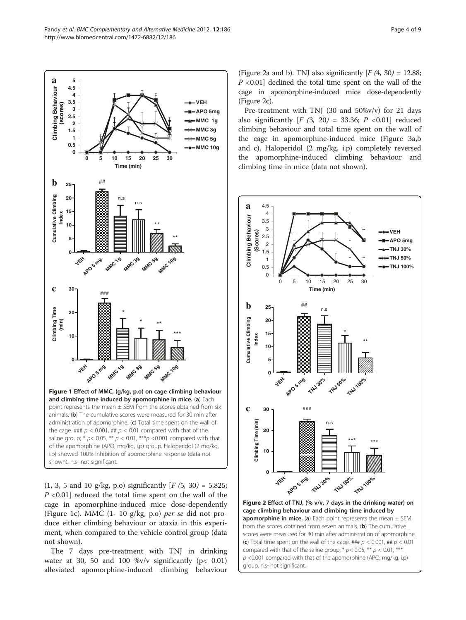<span id="page-3-0"></span>

(1, 3, 5 and 10 g/kg, p.o) significantly [ $F$  (5, 30) = 5.825;  $P \le 0.01$  reduced the total time spent on the wall of the cage in apomorphine-induced mice dose-dependently (Figure 1c). MMC (1- 10 g/kg, p.o) per se did not produce either climbing behaviour or ataxia in this experiment, when compared to the vehicle control group (data not shown).

The 7 days pre-treatment with TNJ in drinking water at 30, 50 and 100 %v/v significantly (p< 0.01) alleviated apomorphine-induced climbing behaviour

(Figure 2a and b). TNJ also significantly  $[F(4, 30) = 12.88;$  $P < 0.01$ ] declined the total time spent on the wall of the cage in apomorphine-induced mice dose-dependently (Figure 2c).

Pre-treatment with TNJ (30 and 50%v/v) for 21 days also significantly  $[F (3, 20) = 33.36; P < 0.01]$  reduced climbing behaviour and total time spent on the wall of the cage in apomorphine-induced mice (Figure [3a,b](#page-4-0) and c). Haloperidol (2 mg/kg, i.p) completely reversed the apomorphine-induced climbing behaviour and climbing time in mice (data not shown).



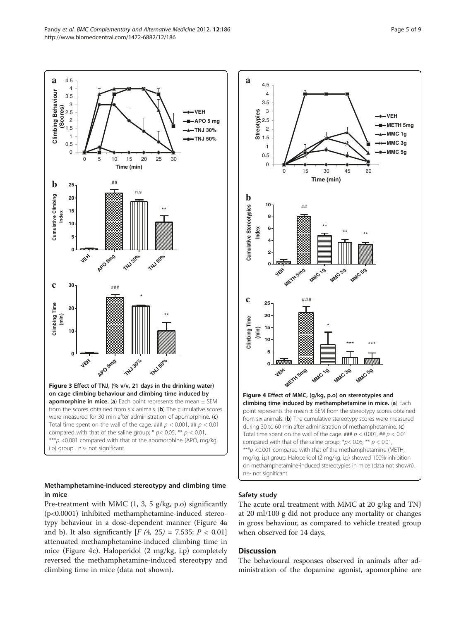<span id="page-4-0"></span>



Figure 3 Effect of TNJ, (% v/v, 21 days in the drinking water) on cage climbing behaviour and climbing time induced by apomorphine in mice. (a) Each point represents the mean  $\pm$  SEM from the scores obtained from six animals. (b) The cumulative scores were measured for 30 min after administration of apomorphine. (c) Total time spent on the wall of the cage. ###  $p < 0.001$ , ##  $p < 0.01$ compared with that of the saline group; \*  $p$  < 0.05, \*\*  $p$  < 0.01, \*\*\* $p$  <0.001 compared with that of the apomorphine (APO, mg/kg, i.p) group . n.s- not significant.

# Methamphetamine-induced stereotypy and climbing time in mice

Pre-treatment with MMC (1, 3, 5 g/kg, p.o) significantly (p<0.0001) inhibited methamphetamine-induced stereotypy behaviour in a dose-dependent manner (Figure 4a and b). It also significantly  $[F(4, 25) = 7.535; P < 0.01]$ attenuated methamphetamine-induced climbing time in mice (Figure 4c). Haloperidol (2 mg/kg, i.p) completely reversed the methamphetamine-induced stereotypy and climbing time in mice (data not shown).



# Safety study

The acute oral treatment with MMC at 20 g/kg and TNJ at 20 ml/100 g did not produce any mortality or changes in gross behaviour, as compared to vehicle treated group when observed for 14 days.

#### **Discussion**

The behavioural responses observed in animals after administration of the dopamine agonist, apomorphine are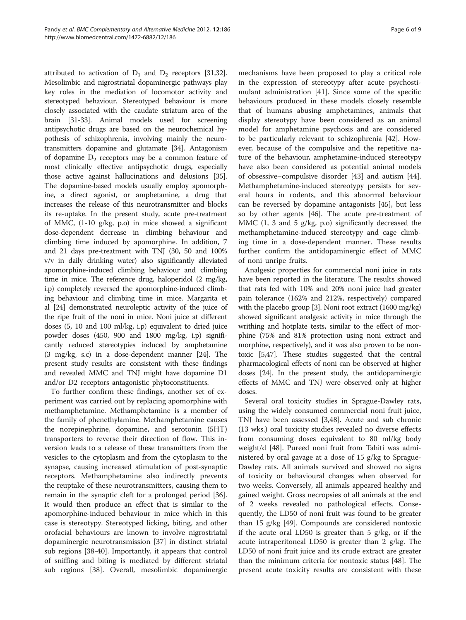attributed to activation of  $D_1$  and  $D_2$  receptors [\[31,32](#page-7-0)]. Mesolimbic and nigrostriatal dopaminergic pathways play key roles in the mediation of locomotor activity and stereotyped behaviour. Stereotyped behaviour is more closely associated with the caudate striatum area of the brain [\[31](#page-7-0)-[33](#page-7-0)]. Animal models used for screening antipsychotic drugs are based on the neurochemical hypothesis of schizophrenia, involving mainly the neurotransmitters dopamine and glutamate [\[34\]](#page-7-0). Antagonism of dopamine  $D_2$  receptors may be a common feature of most clinically effective antipsychotic drugs, especially those active against hallucinations and delusions [\[35](#page-7-0)]. The dopamine-based models usually employ apomorphine, a direct agonist, or amphetamine, a drug that increases the release of this neurotransmitter and blocks its re-uptake. In the present study, acute pre-treatment of MMC, (1-10 g/kg, p.o) in mice showed a significant dose-dependent decrease in climbing behaviour and climbing time induced by apomorphine. In addition, 7 and 21 days pre-treatment with TNJ (30, 50 and 100% v/v in daily drinking water) also significantly alleviated apomorphine-induced climbing behaviour and climbing time in mice. The reference drug, haloperidol (2 mg/kg, i.p) completely reversed the apomorphine-induced climbing behaviour and climbing time in mice. Margarita et al [\[24\]](#page-7-0) demonstrated neuroleptic activity of the juice of the ripe fruit of the noni in mice. Noni juice at different doses (5, 10 and 100 ml/kg, i.p) equivalent to dried juice powder doses (450, 900 and 1800 mg/kg, i.p) significantly reduced stereotypies induced by amphetamine (3 mg/kg, s.c) in a dose-dependent manner [\[24\]](#page-7-0). The present study results are consistent with these findings and revealed MMC and TNJ might have dopamine D1 and/or D2 receptors antagonistic phytoconstituents.

To further confirm these findings, another set of experiment was carried out by replacing apomorphine with methamphetamine. Methamphetamine is a member of the family of phenethylamine. Methamphetamine causes the norepinephrine, dopamine, and serotonin (5HT) transporters to reverse their direction of flow. This inversion leads to a release of these transmitters from the vesicles to the cytoplasm and from the cytoplasm to the synapse, causing increased stimulation of post-synaptic receptors. Methamphetamine also indirectly prevents the reuptake of these neurotransmitters, causing them to remain in the synaptic cleft for a prolonged period [\[36](#page-7-0)]. It would then produce an effect that is similar to the apomorphine-induced behaviour in mice which in this case is stereotypy. Stereotyped licking, biting, and other orofacial behaviours are known to involve nigrostriatal dopaminergic neurotransmission [[37](#page-7-0)] in distinct striatal sub regions [[38-40](#page-7-0)]. Importantly, it appears that control of sniffing and biting is mediated by different striatal sub regions [[38\]](#page-7-0). Overall, mesolimbic dopaminergic

mechanisms have been proposed to play a critical role in the expression of stereotypy after acute psychostimulant administration [[41\]](#page-7-0). Since some of the specific behaviours produced in these models closely resemble that of humans abusing amphetamines, animals that display stereotypy have been considered as an animal model for amphetamine psychosis and are considered to be particularly relevant to schizophrenia [[42\]](#page-7-0). However, because of the compulsive and the repetitive nature of the behaviour, amphetamine-induced stereotypy have also been considered as potential animal models of obsessive–compulsive disorder [[43\]](#page-7-0) and autism [\[44](#page-7-0)]. Methamphetamine-induced stereotypy persists for several hours in rodents, and this abnormal behaviour can be reversed by dopamine antagonists [[45\]](#page-7-0), but less so by other agents [\[46](#page-7-0)]. The acute pre-treatment of MMC (1, 3 and 5 g/kg, p.o) significantly decreased the methamphetamine-induced stereotypy and cage climbing time in a dose-dependent manner. These results further confirm the antidopaminergic effect of MMC of noni unripe fruits.

Analgesic properties for commercial noni juice in rats have been reported in the literature. The results showed that rats fed with 10% and 20% noni juice had greater pain tolerance (162% and 212%, respectively) compared with the placebo group [[3](#page-6-0)]. Noni root extract (1600 mg/kg) showed significant analgesic activity in mice through the writhing and hotplate tests, similar to the effect of morphine (75% and 81% protection using noni extract and morphine, respectively), and it was also proven to be nontoxic [[5](#page-6-0)[,47\]](#page-7-0). These studies suggested that the central pharmacological effects of noni can be observed at higher doses [\[24\]](#page-7-0). In the present study, the antidopaminergic effects of MMC and TNJ were observed only at higher doses.

Several oral toxicity studies in Sprague-Dawley rats, using the widely consumed commercial noni fruit juice, TNJ have been assessed [\[3](#page-6-0)[,48](#page-7-0)]. Acute and sub chronic (13 wks.) oral toxicity studies revealed no diverse effects from consuming doses equivalent to 80 ml/kg body weight/d [[48\]](#page-7-0). Pureed noni fruit from Tahiti was administered by oral gavage at a dose of 15 g/kg to Sprague-Dawley rats. All animals survived and showed no signs of toxicity or behavioural changes when observed for two weeks. Conversely, all animals appeared healthy and gained weight. Gross necropsies of all animals at the end of 2 weeks revealed no pathological effects. Consequently, the LD50 of noni fruit was found to be greater than 15 g/kg [\[49](#page-7-0)]. Compounds are considered nontoxic if the acute oral LD50 is greater than 5 g/kg, or if the acute intraperitoneal LD50 is greater than 2 g/kg. The LD50 of noni fruit juice and its crude extract are greater than the minimum criteria for nontoxic status [[48\]](#page-7-0). The present acute toxicity results are consistent with these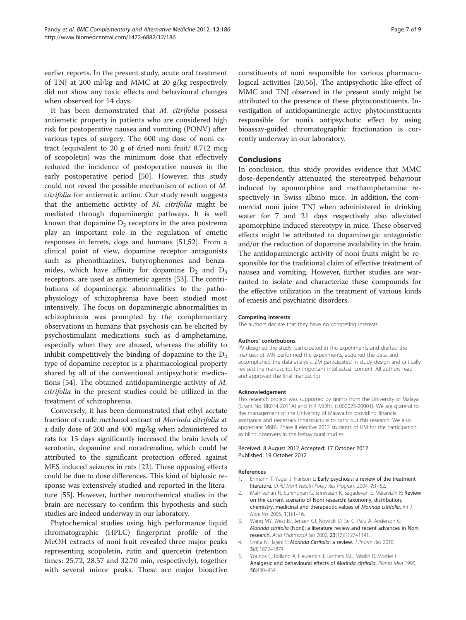<span id="page-6-0"></span>earlier reports. In the present study, acute oral treatment of TNJ at 200 ml/kg and MMC at 20 g/kg respectively did not show any toxic effects and behavioural changes when observed for 14 days.

It has been demonstrated that M. citrifolia possess antiemetic property in patients who are considered high risk for postoperative nausea and vomiting (PONV) after various types of surgery. The 600 mg dose of noni extract (equivalent to 20 g of dried noni fruit/ 8.712 mcg of scopoletin) was the minimum dose that effectively reduced the incidence of postoperative nausea in the early postoperative period [\[50](#page-7-0)]. However, this study could not reveal the possible mechanism of action of M. citrifolia for antiemetic action. Our study result suggests that the antiemetic activity of M. citrifolia might be mediated through dopaminergic pathways. It is well known that dopamine  $D_2$  receptors in the area postrema play an important role in the regulation of emetic responses in ferrets, dogs and humans [\[51,52\]](#page-8-0). From a clinical point of view, dopamine receptor antagonists such as phenothiazines, butyrophenones and benzamides, which have affinity for dopamine  $D_2$  and  $D_3$ receptors, are used as antiemetic agents [\[53](#page-8-0)]. The contributions of dopaminergic abnormalities to the pathophysiology of schizophrenia have been studied most intensively. The focus on dopaminergic abnormalities in schizophrenia was prompted by the complementary observations in humans that psychosis can be elicited by psychostimulant medications such as d-amphetamine, especially when they are abused, whereas the ability to inhibit competitively the binding of dopamine to the  $D_2$ type of dopamine receptor is a pharmacological property shared by all of the conventional antipsychotic medications [\[54](#page-8-0)]. The obtained antidopaminergic activity of M. citrifolia in the present studies could be utilized in the treatment of schizophrenia.

Conversely, it has been demonstrated that ethyl acetate fraction of crude methanol extract of Morinda citrifolia at a daily dose of 200 and 400 mg/kg when administered to rats for 15 days significantly increased the brain levels of serotonin, dopamine and noradrenaline, which could be attributed to the significant protection offered against MES induced seizures in rats [[22](#page-7-0)]. These opposing effects could be due to dose differences. This kind of biphasic response was extensively studied and reported in the literature [[55\]](#page-8-0). However, further neurochemical studies in the brain are necessary to confirm this hypothesis and such studies are indeed underway in our laboratory.

Phytochemical studies using high performance liquid chromatographic (HPLC) fingerprint profile of the MeOH extracts of noni fruit revealed three major peaks representing scopoletin, rutin and quercetin (retention times: 25.72, 28.57 and 32.70 min, respectively), together with several minor peaks. These are major bioactive

constituents of noni responsible for various pharmacological activities [[20](#page-7-0),[56](#page-8-0)]. The antipsychotic like-effect of MMC and TNJ observed in the present study might be attributed to the presence of these phytoconstituents. Investigation of antidopaminergic active phytoconstituents responsible for noni's antipsychotic effect by using bioassay-guided chromatographic fractionation is currently underway in our laboratory.

#### Conclusions

In conclusion, this study provides evidence that MMC dose-dependently attenuated the stereotyped behaviour induced by apomorphine and methamphetamine respectively in Swiss albino mice. In addition, the commercial noni juice TNJ when administered in drinking water for 7 and 21 days respectively also alleviated apomorphine-induced stereotypy in mice. These observed effects might be attributed to dopaminergic antagonistic and/or the reduction of dopamine availability in the brain. The antidopaminergic activity of noni fruits might be responsible for the traditional claim of effective treatment of nausea and vomiting. However, further studies are warranted to isolate and characterize these compounds for the effective utilization in the treatment of various kinds of emesis and psychiatric disorders.

#### Competing interests

The authors declare that they have no competing interests.

#### Authors' contributions

PV designed the study, participated in the experiments and drafted the manuscript. MN performed the experiments, acquired the data, and accomplished the data analysis. ZM participated in study design and critically revised the manuscript for important intellectual content. All authors read and approved the final manuscript.

#### Acknowledgement

This research project was supported by grants from the University of Malaya (Grant No. BK014 2011A) and HIR MOHE (E000025-20001). We are grateful to the management of the University of Malaya for providing financial assistance and necessary infrastructure to carry out this research. We also appreciate MBBS Phase II elective 2012 students of UM for the participation as blind observers in the behavioural studies.

#### Received: 8 August 2012 Accepted: 17 October 2012 Published: 19 October 2012

#### References

- 1. Ehmann T, Yager J, Hanson L: Early psychosis: a review of the treatment literature. Child Ment Health Policy Res Program 2004, 7:1–52.
- 2. Mathivanan N, Surendiran G, Srinivasan K, Sagadevan E, Malarvizhi K: Review on the current scenario of Noni research: taxonomy, distribution, chemistry, medicinal and therapeutic values of Morinda citrifolia. Int J Noni Res 2005, 1(1):1–16.
- 3. Wang MY, West BJ, Jensen CJ, Nowicki D, Su C, Palu A, Anderson G: Morinda citrifolia (Noni): a literature review and recent advances in Noni research. Acta Pharmacol Sin 2002, 23(12):1127–1141.
- 4. Smita N, Rajani S: Morinda Citrifolia: a review. J Pharm Res 2010, 3(8):1872–1874.
- 5. Younos C, Rolland A, Fleurentin J, Lanhers MC, Misslin R, Mortier F: Analgesic and behavioural effects of Morinda citrifolia. Planta Med 1990, 56:430–434.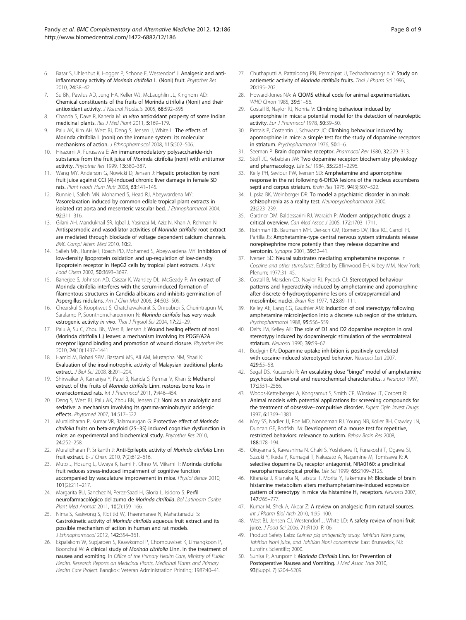- <span id="page-7-0"></span>6. Basar S, Uhlenhut K, Hogger P, Schone F, Westendorf J: Analgesic and antiinflammatory activity of Morinda citrifolia L. (Noni) fruit. Phytother Res 2010, 24:38–42.
- 7. Su BN, Pawlus AD, Jung HA, Keller WJ, McLaughlin JL, Kinghorn AD: Chemical constituents of the fruits of Morinda citrifolia (Noni) and their antioxidant activity. J Natural Products 2005, 68:592-595.
- 8. Chanda S, Dave R, Kaneria M: In vitro antioxidant property of some Indian medicinal plants. Res J Med Plant 2011, 5:169–179.
- Palu AK, Kim AH, West BJ, Deng S, Jensen J, White L: The effects of Morinda citrifolia L (noni) on the immune system: its molecular mechanisms of action. J Ethnopharmacol 2008, 115:502-506.
- 10. Hirazumi A, Furusawa E: An immunomodulatory polysaccharide-rich substance from the fruit juice of Morinda citrifolia (noni) with antitumor activity. Phytother Res 1999, 13:380–387.
- 11. Wang MY, Anderson G, Nowicki D, Jensen J: Hepatic protection by noni fruit juice against CCl (4)-induced chronic liver damage in female SD rats. Plant Foods Hum Nutr 2008, 63:141–145.
- 12. Runnie I, Salleh MN, Mohamed S, Head RJ, Abeywardena MY: Vasorelaxation induced by common edible tropical plant extracts in isolated rat aorta and mesenteric vascular bed. J Ethnopharmacol 2004, 92:311–316.
- 13. Gilani AH, Mandukhail SR, Iqbal J, Yasinzai M, Aziz N, Khan A, Rehman N: Antispasmodic and vasodilator activities of Morinda citrifolia root extract are mediated through blockade of voltage dependent calcium channels. BMC Compl Altern Med 2010, 10:2.
- 14. Salleh MN, Runnie I, Roach PD, Mohamed S, Abeywardena MY: Inhibition of low-density lipoprotein oxidation and up-regulation of low-density lipoprotein receptor in HepG2 cells by tropical plant extracts. J Agric Food Chem 2002, 50:3693–3697.
- 15. Banerjee S, Johnson AD, Csiszar K, Wansley DL, McGeady P: An extract of Morinda citrifolia interferes with the serum-induced formation of filamentous structures in Candida albicans and inhibits germination of Aspergillus nidulans. Am J Chin Med 2006, 34:503–509.
- 16. Chearskul S, Kooptiwut S, Chatchawalvanit S, Onreabroi S, Churintrapun M, Saralamp P, Soonthornchareonnon N: Morinda citrifolia has very weak estrogenic activity in vivo. Thai J Physiol Sci 2004, 17:22-29.
- 17. Palu A, Su C, Zhou BN, West B, Jensen J: Wound healing effects of noni (Morinda citrifolia L.) leaves: a mechanism involving its PDGF/A2A receptor ligand binding and promotion of wound closure. Phytother Res 2010, 24(10):1437–1441.
- 18. Hamid M, Bohari SPM, Bastami MS, Ali AM, Mustapha NM, Shari K: Evaluation of the insulinotrophic activity of Malaysian traditional plants extract. J Biol Sci 2008, 8:201–204.
- 19. Shirwaikar A, Kamariya Y, Patel B, Nanda S, Parmar V, Khan S: Methanol extract of the fruits of Morinda citrifolia Linn. restores bone loss in ovariectomized rats. Int J Pharmacol 2011, 7:446–454.
- 20. Deng S, West BJ, Palu AK, Zhou BN, Jensen CJ: Noni as an anxiolytic and sedative: a mechanism involving its gamma-aminobutyric acidergic effects. Phytomed 2007, 14:517–522.
- 21. Muralidharan P, Kumar VR, Balamurugan G: Protective effect of Morinda citrifolia fruits on beta-amyloid (25–35) induced cognitive dysfunction in mice: an experimental and biochemical study. Phytother Res 2010, 24:252–258.
- 22. Muralidharan P, Srikanth J: Anti-Epileptic activity of Morinda citrifolia Linn fruit extract. E- J Chem 2010, 7(2):612–616.
- 23. Muto J, Hosung L, Uwaya K, Isami F, Ohno M, Mikami T: Morinda citrifolia fruit reduces stress-induced impairment of cognitive function accompanied by vasculature improvement in mice. Physiol Behav 2010, 101(2):211–217.
- 24. Margarita BU, Sanchez N, Perez-Saad H, Gloria L, Isidoro S: Perfil neurofarmacológico del zumo de Morinda citrifolia. Bol Latinoam Caribe Plant Med Aromat 2011, 10(2):159–166.
- 25. Nima S, Kasiwong S, Ridtitid W, Thaenmanee N, Mahattanadul S: Gastrokinetic activity of Morinda citrifolia aqueous fruit extract and its possible mechanism of action in human and rat models. J Ethnopharmacol 2012, 142:354–361.
- 26. Ekpalakorn W, Supjaroen S, Keawkomol P, Chompuwiset K, Limangkoon P, Boonchui W: A clinical study of Morinda citrifolia Linn. In the treatment of nausea and vomiting. In Office of the Primary Health Care, Ministry of Public Health. Research Reports on Medicinal Plants, Medicinal Plants and Primary Health Care Project. Bangkok: Veteran Administration Printing; 1987:40–41.
- 27. Chuthaputti A, Pattaloong PN, Permpipat U, Techadamrongsin Y: Study on antiemetic activity of Morinda citrifolia fruits. Thai J Pharm Sci 1996, 20:195–202.
- 28. Howard-Jones NA: A CIOMS ethical code for animal experimentation. WHO Chron 1985, 39:51–56.
- 29. Costall B, Naylor RJ, Nohria V: Climbing behaviour induced by apomorphine in mice: a potential model for the detection of neuroleptic activity. Eur J Pharmacol 1978, 50:39-50.
- 30. Protais P, Costentin J, Schwartz JC: Climbing behaviour induced by apomorphine in mice: a simple test for the study of dopamine receptors in striatum. Psychopharmacol 1976, 50:1–6.
- 31. Seeman P: Brain dopamine receptor. Pharmacol Rev 1980, 32:229–313.
- 32. Stoff JC, Kebabian JW: Two dopamine receptor: biochemistry physiology and pharmacology. Life Sci 1984, 35:2281–2296.
- 33. Kelly PH, Seviour PW, Iversen SD: Amphetamine and apomorphine response in the rat following 6-OHDA lesions of the nucleus accumbens septi and corpus striatum. Brain Res 1975, 94(3):507-522.
- 34. Lipska BK, Weinberger DR: To model a psychiatric disorder in animals: schizophrenia as a reality test. Neuropsychopharmacol 2000, 23:223–239.
- 35. Gardner DM, Baldessarini RJ, Waraich P: Modern antipsychotic drugs: a critical overview. Can Med Assoc J 2005, 172:1703–1711.
- 36. Rothman RB, Baumann MH, Der-sch CM, Romero DV, Rice KC, Carroll FI, Partilla JS: Amphetamine-type central nervous system stimulants release norepinephrine more potently than they release dopamine and serotonin. Synapse 2001, 39:32–41.
- 37. Iversen SD: Neural substrates mediating amphetamine response. In Cocaine and other stimulants. Edited by Ellinwood EH, Kilbey MM. New York: Plenum; 1977:31–45.
- 38. Costall B, Marsden CD, Naylor RJ, Pycock CJ: Stereotyped behaviour patterns and hyperactivity induced by amphetamine and apomorphine after discrete 6-hydroxydopamine lesions of extrapyramidal and mesolimbic nuclei. Brain Res 1977, 123:89–111.
- 39. Kelley AE, Lang CG, Gauthier AM: Induction of oral stereotypy following amphetamine microinjection into a discrete sub region of the striatum. Psychopharmacol 1988, 95:556–559.
- 40. Delfs JM, Kelley AE: The role of D1 and D2 dopamine receptors in oral stereotypy induced by dopaminergic stimulation of the ventrolateral striatum. Neurosci 1990, 39:59–67.
- 41. Budygin EA: Dopamine uptake inhibition is positively correlated with cocaine-induced stereotyped behavior. Neurosci Lett 2007, 429:55–58.
- 42. Segal DS, Kuczenski R: An escalating dose "binge" model of amphetamine psychosis: behavioral and neurochemical characteristics. J Neurosci 1997, 17:2551–2566.
- 43. Woods-Kettelberger A, Kongsamut S, Smith CP, Winslow JT, Corbett R: Animal models with potential applications for screening compounds for the treatment of obsessive–compulsive disorder. Expert Opin Invest Drugs 1997, 6:1369–1381.
- 44. Moy SS, Nadler JJ, Poe MD, Nonneman RJ, Young NB, Koller BH, Crawley JN, Duncan GE, Bodfish JM: Development of a mouse test for repetitive, restricted behaviors: relevance to autism. Behav Brain Res 2008, 188:178–194.
- 45. Okuyama S, Kawashima N, Chaki S, Yoshikawa R, Funakoshi T, Ogawa SI, Suzuki Y, Ikeda Y, Kumagai T, Nakazato A, Nagamine M, Tomisawa K: A selective dopamine D<sub>4</sub> receptor antagonist, NRA0160: a preclinical neuropharmacological profile. Life Sci 1999, 65:2109–2125.
- 46. Kitanaka J, Kitanaka N, Tatsuta T, Morita Y, Takemura M: Blockade of brain histamine metabolism alters methamphetamine-induced expression pattern of stereotypy in mice via histamine  $H_1$  receptors. Neurosci 2007, 147:765–777.
- 47. Kumar M, Shek A, Akbar Z: A review on analgesic: from natural sources. Int J Pharm Biol Arch 2010, 1:95–100.
- 48. West BJ, Jensen CJ, Westendorf J, White LD: A safety review of noni fruit juice. J Food Sci 2006, 71:R100–R106.
- 49. Product Safety Labs: Guinea pig antigenicity study. Tahitian Noni puree, Tahitian Noni juice, and Tahitian Noni concentrate. East Brunswick, NJ: Eurofins Scientific; 2000.
- 50. Sunisa P, Arunporn I: Morinda Citrifolia Linn. for Prevention of Postoperative Nausea and Vomiting. J Med Assoc Thai 2010, 93(Suppl. 7):S204–S209.